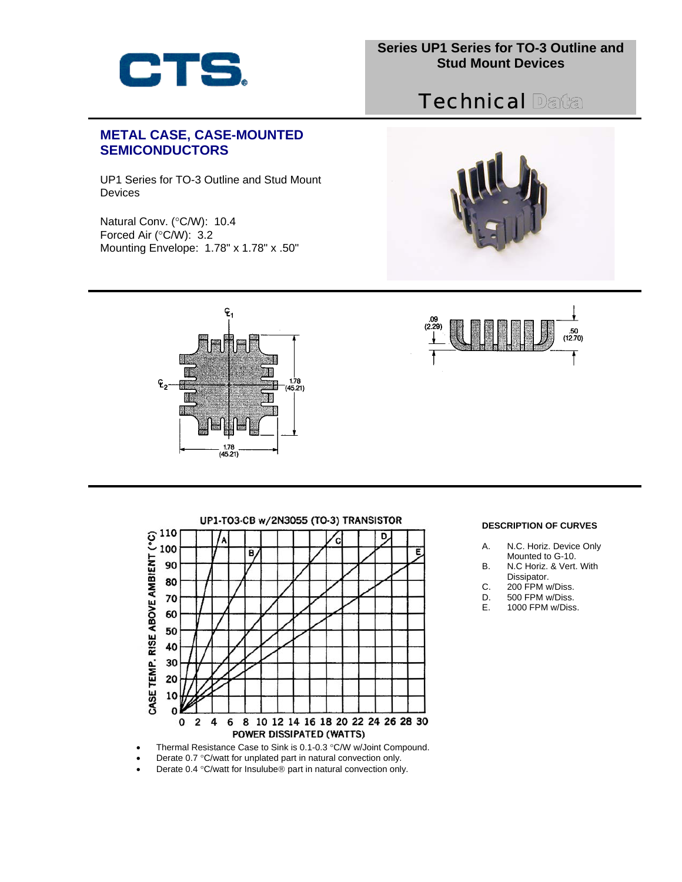

# **Technical Data**

## **METAL CASE, CASE-MOUNTED SEMICONDUCTORS**

UP1 Series for TO-3 Outline and Stud Mount **Devices** 

Natural Conv. (°C/W): 10.4 Forced Air (°C/W): 3.2 Mounting Envelope: 1.78" x 1.78" x .50"







UP1-TO3-CB w/2N3055 (TO-3) TRANSISTOR CASE TEMP. RISE ABOVE AMBIENT (°C)<br>o 5 8 9 8 9 8 9 8 9 6 5 D B, E 8 10 12 14 16 18 20 22 24 26 28 30  $\overline{\mathbf{2}}$ 4 6 0 POWER DISSIPATED (WATTS) • Thermal Resistance Case to Sink is 0.1-0.3 °C/W w/Joint Compound.

### **DESCRIPTION OF CURVES**

- A. N.C. Horiz. Device Only
- B. Mounted to G-10. N.C Horiz. & Vert. With
- Dissipator.
- C. 200 FPM w/Diss.
- D. 500 FPM w/Diss.
- E. 1000 FPM w/Diss.

- 
- Derate 0.7 °C/watt for unplated part in natural convection only.
- Derate 0.4 °C/watt for Insulube® part in natural convection only.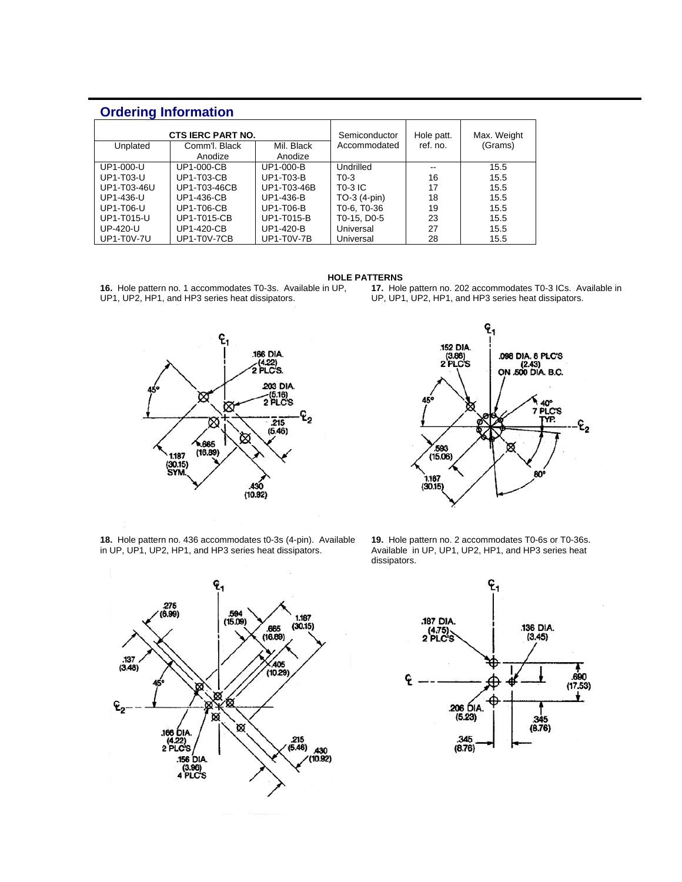## **Ordering Information**

| <b>CTS IERC PART NO.</b><br>Mil. Black<br>Comm'l, Black<br>Unplated |                   |                   | Semiconductor<br>Accommodated | Hole patt.<br>ref. no. | Max. Weight<br>(Grams) |
|---------------------------------------------------------------------|-------------------|-------------------|-------------------------------|------------------------|------------------------|
|                                                                     | Anodize           | Anodize           |                               |                        |                        |
| UP1-000-U                                                           | <b>UP1-000-CB</b> | UP1-000-B         | Undrilled                     | --                     | 15.5                   |
| UP1-T03-U                                                           | <b>UP1-T03-CB</b> | UP1-T03-B         | $T0-3$                        | 16                     | 15.5                   |
| UP1-T03-46U                                                         | UP1-T03-46CB      | UP1-T03-46B       | T0-3 IC                       | 17                     | 15.5                   |
| UP1-436-U                                                           | UP1-436-CB        | UP1-436-B         | $TO-3(4-pin)$                 | 18                     | 15.5                   |
| UP1-T06-U                                                           | <b>UP1-T06-CB</b> | UP1-T06-B         | T0-6, T0-36                   | 19                     | 15.5                   |
| UP1-T015-U                                                          | UP1-T015-CB       | UP1-T015-B        | T0-15, D0-5                   | 23                     | 15.5                   |
| UP-420-U                                                            | <b>UP1-420-CB</b> | UP1-420-B         | Universal                     | 27                     | 15.5                   |
| <b>UP1-T0V-7U</b>                                                   | UP1-T0V-7CB       | <b>UP1-T0V-7B</b> | Universal                     | 28                     | 15.5                   |

#### **HOLE PATTERNS**

**16.** Hole pattern no. 1 accommodates T0-3s. Available in UP, UP1, UP2, HP1, and HP3 series heat dissipators.



**18.** Hole pattern no. 436 accommodates t0-3s (4-pin). Available in UP, UP1, UP2, HP1, and HP3 series heat dissipators.





**19.** Hole pattern no. 2 accommodates T0-6s or T0-36s. Available in UP, UP1, UP2, HP1, and HP3 series heat dissipators.